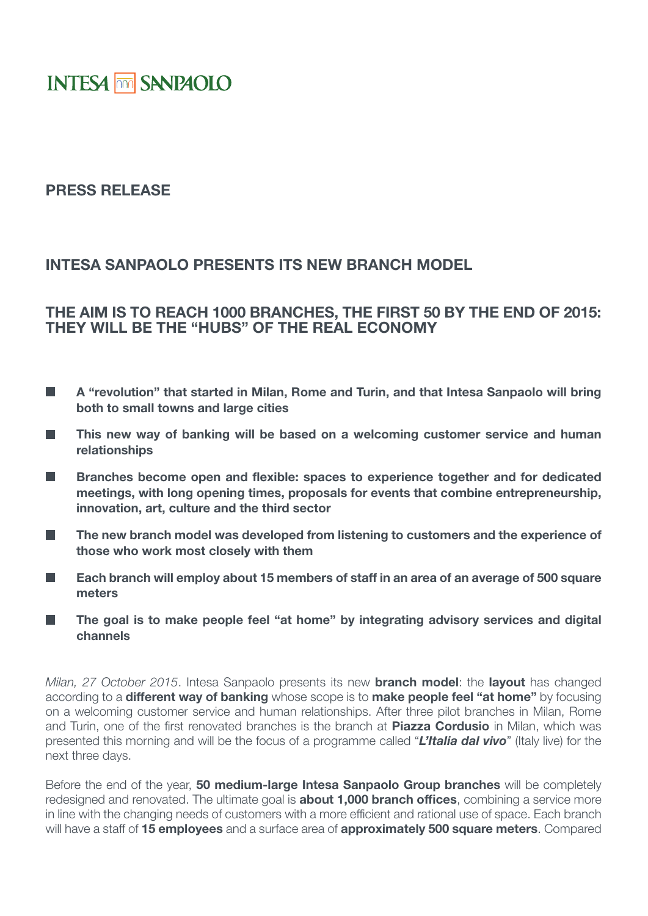# **INTESA MM SANPAOLO**

### **PRESS RELEASE**

### **INTESA SANPAOLO PRESENTS ITS NEW BRANCH MODEL**

## **THE AIM IS TO REACH 1000 BRANCHES, THE FIRST 50 BY THE END OF 2015: THEY WILL BE THE "HUBS" OF THE REAL ECONOMY**

- П **A "revolution" that started in Milan, Rome and Turin, and that Intesa Sanpaolo will bring both to small towns and large cities**
- **This new way of banking will be based on a welcoming customer service and human**  П **relationships**
- **Tale Branches become open and flexible: spaces to experience together and for dedicated meetings, with long opening times, proposals for events that combine entrepreneurship, innovation, art, culture and the third sector**
- П **The new branch model was developed from listening to customers and the experience of those who work most closely with them**
- **Each branch will employ about 15 members of staff in an area of an average of 500 square Tall meters**
- **The goal is to make people feel "at home" by integrating advisory services and digital channels**

*Milan, 27 October 2015*. Intesa Sanpaolo presents its new **branch model**: the **layout** has changed according to a **different way of banking** whose scope is to **make people feel "at home"** by focusing on a welcoming customer service and human relationships. After three pilot branches in Milan, Rome and Turin, one of the first renovated branches is the branch at **Piazza Cordusio** in Milan, which was presented this morning and will be the focus of a programme called "*L'Italia dal vivo*" (Italy live) for the next three days.

Before the end of the year, **50 medium-large Intesa Sanpaolo Group branches** will be completely redesigned and renovated. The ultimate goal is **about 1,000 branch offices**, combining a service more in line with the changing needs of customers with a more efficient and rational use of space. Each branch will have a staff of **15 employees** and a surface area of **approximately 500 square meters**. Compared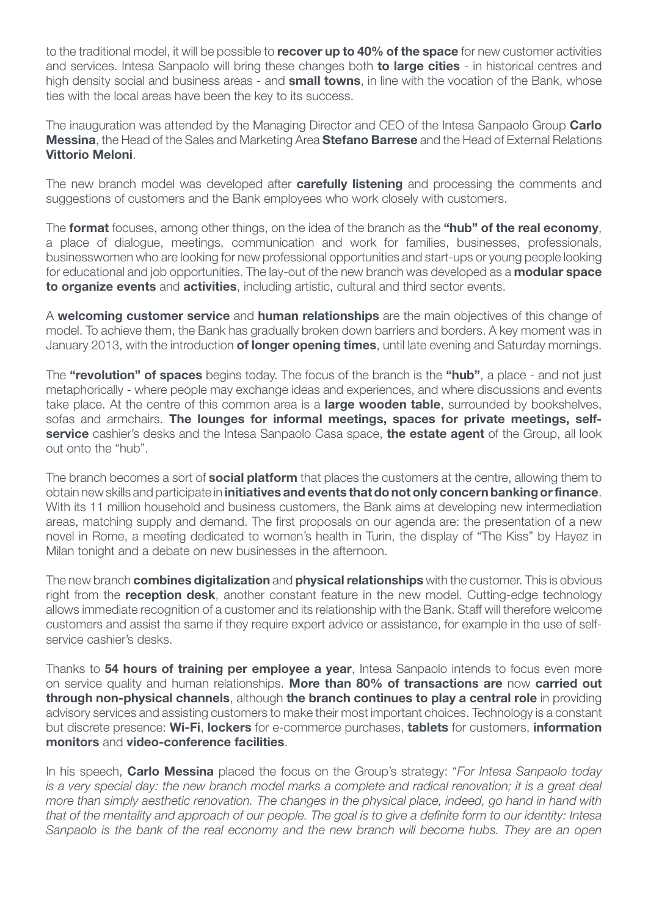to the traditional model, it will be possible to **recover up to 40% of the space** for new customer activities and services. Intesa Sanpaolo will bring these changes both **to large cities** - in historical centres and high density social and business areas - and **small towns**, in line with the vocation of the Bank, whose ties with the local areas have been the key to its success.

The inauguration was attended by the Managing Director and CEO of the Intesa Sanpaolo Group **Carlo Messina**, the Head of the Sales and Marketing Area **Stefano Barrese** and the Head of External Relations **Vittorio Meloni**.

The new branch model was developed after **carefully listening** and processing the comments and suggestions of customers and the Bank employees who work closely with customers.

The **format** focuses, among other things, on the idea of the branch as the **"hub" of the real economy**, a place of dialogue, meetings, communication and work for families, businesses, professionals, businesswomen who are looking for new professional opportunities and start-ups or young people looking for educational and job opportunities. The lay-out of the new branch was developed as a **modular space to organize events** and **activities**, including artistic, cultural and third sector events.

A **welcoming customer service** and **human relationships** are the main objectives of this change of model. To achieve them, the Bank has gradually broken down barriers and borders. A key moment was in January 2013, with the introduction **of longer opening times**, until late evening and Saturday mornings.

The **"revolution" of spaces** begins today. The focus of the branch is the **"hub"**, a place - and not just metaphorically - where people may exchange ideas and experiences, and where discussions and events take place. At the centre of this common area is a **large wooden table**, surrounded by bookshelves, sofas and armchairs. **The lounges for informal meetings, spaces for private meetings, selfservice** cashier's desks and the Intesa Sanpaolo Casa space, **the estate agent** of the Group, all look out onto the "hub".

The branch becomes a sort of **social platform** that places the customers at the centre, allowing them to obtain new skills and participate in **initiatives and events that do not only concern banking or finance**. With its 11 million household and business customers, the Bank aims at developing new intermediation areas, matching supply and demand. The first proposals on our agenda are: the presentation of a new novel in Rome, a meeting dedicated to women's health in Turin, the display of "The Kiss" by Hayez in Milan tonight and a debate on new businesses in the afternoon.

The new branch **combines digitalization** and **physical relationships** with the customer. This is obvious right from the **reception desk**, another constant feature in the new model. Cutting-edge technology allows immediate recognition of a customer and its relationship with the Bank. Staff will therefore welcome customers and assist the same if they require expert advice or assistance, for example in the use of selfservice cashier's desks.

Thanks to **54 hours of training per employee a year**, Intesa Sanpaolo intends to focus even more on service quality and human relationships. **More than 80% of transactions are** now **carried out through non-physical channels**, although **the branch continues to play a central role** in providing advisory services and assisting customers to make their most important choices. Technology is a constant but discrete presence: **Wi-Fi**, **lockers** for e-commerce purchases, **tablets** for customers, **information monitors** and **video-conference facilities**.

In his speech, **Carlo Messina** placed the focus on the Group's strategy: "*For Intesa Sanpaolo today is a very special day: the new branch model marks a complete and radical renovation; it is a great deal more than simply aesthetic renovation. The changes in the physical place, indeed, go hand in hand with that of the mentality and approach of our people. The goal is to give a definite form to our identity: Intesa Sanpaolo is the bank of the real economy and the new branch will become hubs. They are an open*